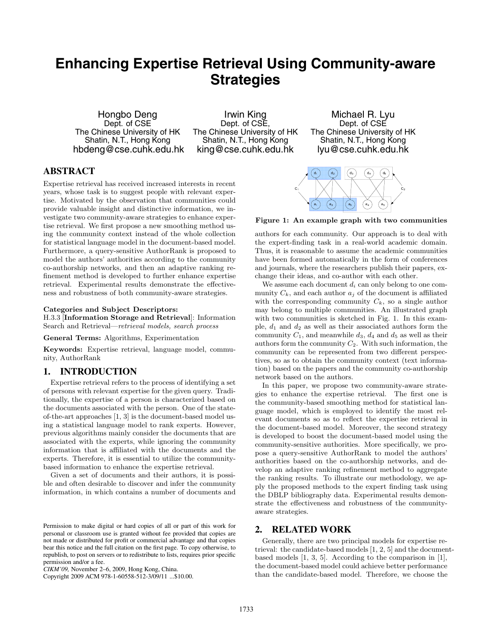# **Enhancing Expertise Retrieval Using Community-aware Strategies**

Hongbo Deng Dept. of CSE The Chinese University of HK Shatin, N.T., Hong Kong hbdeng@cse.cuhk.edu.hk

Irwin King Dept. of CSE The Chinese University of HK Shatin, N.T., Hong Kong king@cse.cuhk.edu.hk

Michael R. Lyu Dept. of CSE The Chinese University of HK Shatin, N.T., Hong Kong lyu@cse.cuhk.edu.hk

## **ABSTRACT**

Expertise retrieval has received increased interests in recent years, whose task is to suggest people with relevant expertise. Motivated by the observation that communities could provide valuable insight and distinctive information, we investigate two community-aware strategies to enhance expertise retrieval. We first propose a new smoothing method using the community context instead of the whole collection for statistical language model in the document-based model. Furthermore, a query-sensitive AuthorRank is proposed to model the authors' authorities according to the community co-authorship networks, and then an adaptive ranking refinement method is developed to further enhance expertise retrieval. Experimental results demonstrate the effectiveness and robustness of both community-aware strategies.

#### **Categories and Subject Descriptors:**

H.3.3 [**Information Storage and Retrieval**]: Information Search and Retrieval—*retrieval models, search process*

**General Terms:** Algorithms, Experimentation

**Keywords:** Expertise retrieval, language model, community, AuthorRank

## **1. INTRODUCTION**

Expertise retrieval refers to the process of identifying a set of persons with relevant expertise for the given query. Traditionally, the expertise of a person is characterized based on the documents associated with the person. One of the stateof-the-art approaches [1, 3] is the document-based model using a statistical language model to rank experts. However, previous algorithms mainly consider the documents that are associated with the experts, while ignoring the community information that is affiliated with the documents and the experts. Therefore, it is essential to utilize the communitybased information to enhance the expertise retrieval.

Given a set of documents and their authors, it is possible and often desirable to discover and infer the community information, in which contains a number of documents and

Copyright 2009 ACM 978-1-60558-512-3/09/11 ...\$10.00.



**Figure 1: An example graph with two communities**

authors for each community. Our approach is to deal with the expert-finding task in a real-world academic domain. Thus, it is reasonable to assume the academic communities have been formed automatically in the form of conferences and journals, where the researchers publish their papers, exchange their ideas, and co-author with each other.

We assume each document  $d_i$  can only belong to one community  $C_k$ , and each author  $a_j$  of the document is affiliated with the corresponding community  $C_k$ , so a single author may belong to multiple communities. An illustrated graph with two communities is sketched in Fig. 1. In this example,  $d_1$  and  $d_2$  as well as their associated authors form the community  $C_1$ , and meanwhile  $d_3$ ,  $d_4$  and  $d_5$  as well as their authors form the community  $C_2$ . With such information, the community can be represented from two different perspectives, so as to obtain the community context (text information) based on the papers and the community co-authorship network based on the authors.

In this paper, we propose two community-aware strategies to enhance the expertise retrieval. The first one is the community-based smoothing method for statistical language model, which is employed to identify the most relevant documents so as to reflect the expertise retrieval in the document-based model. Moreover, the second strategy is developed to boost the document-based model using the community-sensitive authorities. More specifically, we propose a query-sensitive AuthorRank to model the authors' authorities based on the co-authorship networks, and develop an adaptive ranking refinement method to aggregate the ranking results. To illustrate our methodology, we apply the proposed methods to the expert finding task using the DBLP bibliography data. Experimental results demonstrate the effectiveness and robustness of the communityaware strategies.

#### **2. RELATED WORK**

Generally, there are two principal models for expertise retrieval: the candidate-based models [1, 2, 5] and the documentbased models [1, 3, 5]. According to the comparison in [1], the document-based model could achieve better performance than the candidate-based model. Therefore, we choose the

Permission to make digital or hard copies of all or part of this work for personal or classroom use is granted without fee provided that copies are not made or distributed for profit or commercial advantage and that copies bear this notice and the full citation on the first page. To copy otherwise, to republish, to post on servers or to redistribute to lists, requires prior specific permission and/or a fee.

*CIKM'09,* November 2–6, 2009, Hong Kong, China.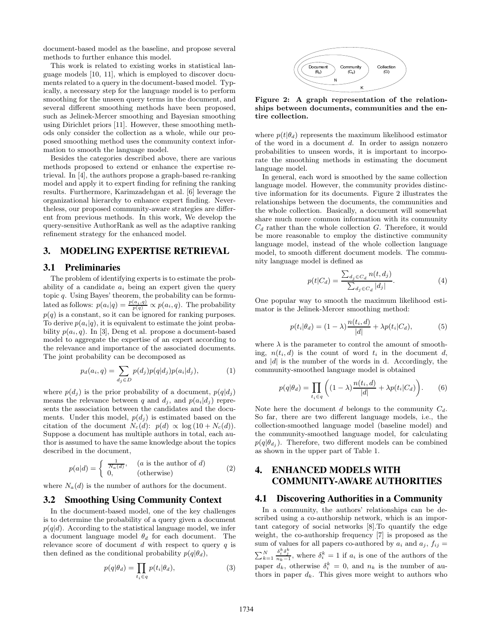document-based model as the baseline, and propose several methods to further enhance this model.

This work is related to existing works in statistical language models [10, 11], which is employed to discover documents related to a query in the document-based model. Typically, a necessary step for the language model is to perform smoothing for the unseen query terms in the document, and several different smoothing methods have been proposed, such as Jelinek-Mercer smoothing and Bayesian smoothing using Dirichlet priors [11]. However, these smoothing methods only consider the collection as a whole, while our proposed smoothing method uses the community context information to smooth the language model.

Besides the categories described above, there are various methods proposed to extend or enhance the expertise retrieval. In [4], the authors propose a graph-based re-ranking model and apply it to expert finding for refining the ranking results. Furthermore, Karimzadehgan et al. [6] leverage the organizational hierarchy to enhance expert finding. Nevertheless, our proposed community-aware strategies are different from previous methods. In this work, We develop the query-sensitive AuthorRank as well as the adaptive ranking refinement strategy for the enhanced model.

## **3. MODELING EXPERTISE RETRIEVAL**

#### **3.1 Preliminaries**

The problem of identifying experts is to estimate the probability of a candidate  $a_i$  being an expert given the query topic q. Using Bayes' theorem, the probability can be formulated as follows:  $p(a_i|q) = \frac{p(a_i,q)}{p(q)} \propto p(a_i,q)$ . The probability  $p(q)$  is a constant, so it can be ignored for ranking purposes. To derive  $p(a_i|q)$ , it is equivalent to estimate the joint probability  $p(a_i, q)$ . In [3], Deng et al. propose a document-based model to aggregate the expertise of an expert according to the relevance and importance of the associated documents. The joint probability can be decomposed as

$$
p_d(a_i, q) = \sum_{d_j \in D} p(d_j) p(q|d_j) p(a_i|d_j), \qquad (1)
$$

where  $p(d_i)$  is the prior probability of a document,  $p(q|d_i)$ means the relevance between q and  $d_j$ , and  $p(a_i|d_j)$  represents the association between the candidates and the documents. Under this model,  $p(d_i)$  is estimated based on the citation of the document  $N_c(d)$ :  $p(d) \propto \log(10 + N_c(d)).$ Suppose a document has multiple authors in total, each author is assumed to have the same knowledge about the topics described in the document,

$$
p(a|d) = \begin{cases} \frac{1}{N_a(d)}, & (a \text{ is the author of } d) \\ 0, & (\text{otherwise}) \end{cases}
$$
 (2)

where  $N_a(d)$  is the number of authors for the document.

## **3.2 Smoothing Using Community Context**

In the document-based model, one of the key challenges is to determine the probability of a query given a document  $p(q|d)$ . According to the statistical language model, we infer a document language model  $\theta_d$  for each document. The relevance score of document  $d$  with respect to query  $q$  is then defined as the conditional probability  $p(q|\theta_d)$ ,

$$
p(q|\theta_d) = \prod_{t_i \in q} p(t_i|\theta_d), \tag{3}
$$



**Figure 2: A graph representation of the relationships between documents, communities and the entire collection.**

where  $p(t|\theta_d)$  represents the maximum likelihood estimator of the word in a document d. In order to assign nonzero probabilities to unseen words, it is important to incorporate the smoothing methods in estimating the document language model.

In general, each word is smoothed by the same collection language model. However, the community provides distinctive information for its documents. Figure 2 illustrates the relationships between the documents, the communities and the whole collection. Basically, a document will somewhat share much more common information with its community  $C_d$  rather than the whole collection G. Therefore, it would be more reasonable to employ the distinctive community language model, instead of the whole collection language model, to smooth different document models. The community language model is defined as

$$
p(t|C_d) = \frac{\sum_{d_j \in C_d} n(t, d_j)}{\sum_{d_j \in C_d} |d_j|}.
$$
 (4)

One popular way to smooth the maximum likelihood estimator is the Jelinek-Mercer smoothing method:

$$
p(t_i|\theta_d) = (1-\lambda)\frac{n(t_i,d)}{|d|} + \lambda p(t_i|C_d),\tag{5}
$$

where  $\lambda$  is the parameter to control the amount of smoothing,  $n(t_i, d)$  is the count of word  $t_i$  in the document d, and  $|d|$  is the number of the words in d. Accordingly, the community-smoothed language model is obtained

$$
p(q|\theta_d) = \prod_{t_i \in q} \left( (1-\lambda) \frac{n(t_i, d)}{|d|} + \lambda p(t_i | C_d) \right). \tag{6}
$$

Note here the document d belongs to the community  $C_d$ . So far, there are two different language models, i.e., the collection-smoothed language model (baseline model) and the community-smoothed language model, for calculating  $p(q|\theta_{d_i})$ . Therefore, two different models can be combined as shown in the upper part of Table 1.

## **4. ENHANCED MODELS WITH COMMUNITY-AWARE AUTHORITIES**

#### **4.1 Discovering Authorities in a Community**

In a community, the authors' relationships can be described using a co-authorship network, which is an important category of social networks [8].To quantify the edge weight, the co-authorship frequency [7] is proposed as the sum of values for all papers co-authored by  $a_i$  and  $a_j$ ,  $f_{ij}$  =  $\sum_{k=1}^{N}$  $\frac{\delta_i^k \delta_j^k}{n_k-1}$ , where  $\delta_i^k = 1$  if  $a_i$  is one of the authors of the paper  $d_k$ , otherwise  $\delta_i^k = 0$ , and  $n_k$  is the number of authors in paper  $d_k$ . This gives more weight to authors who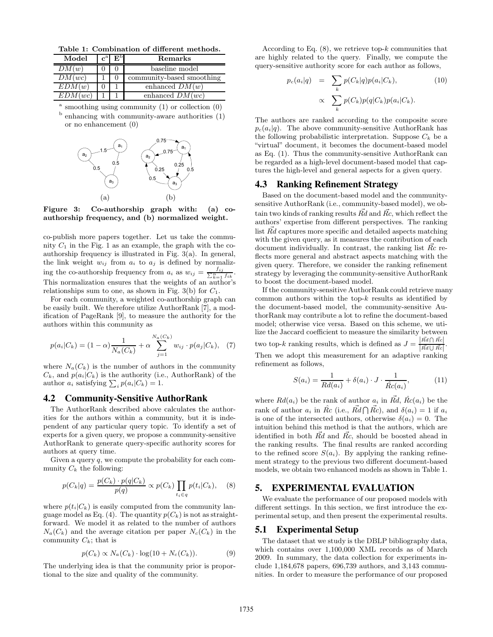**Table 1: Combination of different methods.**

| Model   | $\mathbf{c}^{\mathrm{a}}$ | E <sub>p</sub> | Remarks                   |  |  |
|---------|---------------------------|----------------|---------------------------|--|--|
| DM(w)   |                           |                | baseline model            |  |  |
| DM(wc)  |                           |                | community-based smoothing |  |  |
| EDM(w)  |                           |                | enhanced $DM(w)$          |  |  |
| EDM(wc) |                           |                | enhanced $DM(wc)$         |  |  |

 $a$  smoothing using community (1) or collection  $(0)$  $<sup>b</sup>$  enhancing with community-aware authorities  $(1)$ </sup> or no enhancement (0)



**Figure 3: Co-authorship graph with: (a) coauthorship frequency, and (b) normalized weight.**

co-publish more papers together. Let us take the community  $C_1$  in the Fig. 1 as an example, the graph with the coauthorship frequency is illustrated in Fig. 3(a). In general, the link weight  $w_{ij}$  from  $a_i$  to  $a_j$  is defined by normalizing the co-authorship frequency from  $a_i$  as  $w_{ij} = \frac{f_{ij}}{\sum_{k=1}^{n} f_{ik}}$ . This normalization ensures that the weights of an author's relationships sum to one, as shown in Fig. 3(b) for  $C_1$ .

For each community, a weighted co-authorship graph can be easily built. We therefore utilize AuthorRank [7], a modification of PageRank [9], to measure the authority for the authors within this community as

$$
p(a_i|C_k) = (1 - \alpha) \frac{1}{N_a(C_k)} + \alpha \sum_{j=1}^{N_a(C_k)} w_{ij} \cdot p(a_j|C_k), \quad (7)
$$

where  $N_a(C_k)$  is the number of authors in the community  $C_k$ , and  $p(a_i|C_k)$  is the authority (i.e., AuthorRank) of the author  $a_i$  satisfying  $\sum_i p(a_i|C_k) = 1$ .

## **4.2 Community-Sensitive AuthorRank**

The AuthorRank described above calculates the authorities for the authors within a community, but it is independent of any particular query topic. To identify a set of experts for a given query, we propose a community-sensitive AuthorRank to generate query-specific authority scores for authors at query time.

Given a query  $q$ , we compute the probability for each community  $C_k$  the following:

$$
p(C_k|q) = \frac{p(C_k) \cdot p(q|C_k)}{p(q)} \propto p(C_k) \prod_{t_i \in q} p(t_i|C_k), \quad (8)
$$

where  $p(t_i|C_k)$  is easily computed from the community language model as Eq. (4). The quantity  $p(C_k)$  is not as straightforward. We model it as related to the number of authors  $N_a(C_k)$  and the average citation per paper  $N_c(C_k)$  in the community  $C_k$ ; that is

$$
p(C_k) \propto N_a(C_k) \cdot \log(10 + N_c(C_k)). \tag{9}
$$

The underlying idea is that the community prior is proportional to the size and quality of the community.

According to Eq.  $(8)$ , we retrieve top- $k$  communities that are highly related to the query. Finally, we compute the query-sensitive authority score for each author as follows,

$$
p_c(a_i|q) = \sum_k p(C_k|q)p(a_i|C_k),
$$
\n
$$
\propto \sum_k p(C_k)p(q|C_k)p(a_i|C_k).
$$
\n(10)

The authors are ranked according to the composite score  $p_c(a_i|q)$ . The above community-sensitive AuthorRank has the following probabilistic interpretation. Suppose  $C_k$  be a "virtual" document, it becomes the document-based model as Eq. (1). Thus the community-sensitive AuthorRank can be regarded as a high-level document-based model that captures the high-level and general aspects for a given query.

## **4.3 Ranking Refinement Strategy**

Based on the document-based model and the communitysensitive AuthorRank (i.e., community-based model), we obtain two kinds of ranking results  $\vec{Rd}$  and  $\vec{Rc}$ , which reflect the authors' expertise from different perspectives. The ranking list Rd captures more specific and detailed aspects matching with the given query, as it measures the contribution of each document individually. In contrast, the ranking list  $\overline{R}c$  reflects more general and abstract aspects matching with the given query. Therefore, we consider the ranking refinement strategy by leveraging the community-sensitive AuthorRank to boost the document-based model.

If the community-sensitive AuthorRank could retrieve many common authors within the top- $k$  results as identified by the document-based model, the community-sensitive AuthorRank may contribute a lot to refine the document-based model; otherwise vice versa. Based on this scheme, we utilize the Jaccard coefficient to measure the similarity between<br>two ten-lengths possible, which is defined as  $I = |\vec{R}d \cap \vec{R}c|$ . two top-k ranking results, which is defined as  $J = \frac{|\vec{R}d \cap \vec{Rc}|}{|\vec{R}d \cup \vec{Rc}|}$ . Then we adopt this measurement for an adaptive ranking refinement as follows,

$$
S(a_i) = \frac{1}{R d(a_i)} + \delta(a_i) \cdot J \cdot \frac{1}{\hat{R}c(a_i)},
$$
\n(11)

where  $Rd(a_i)$  be the rank of author  $a_i$  in  $\vec{Rd}$ ,  $\hat{Rc}(a_i)$  be the rank of author  $a_i$  in  $\hat{Rc}$  (i.e.,  $\vec{Rd} \cap \vec{Rc}$ ), and  $\delta(a_i) = 1$  if  $a_i$ is one of the intersected authors, otherwise  $\delta(a_i) = 0$ . The intuition behind this method is that the authors, which are identified in both  $\vec{Rd}$  and  $\vec{Rc}$ , should be boosted ahead in the ranking results. The final results are ranked according to the refined score  $S(a_i)$ . By applying the ranking refinement strategy to the previous two different document-based models, we obtain two enhanced models as shown in Table 1.

#### **5. EXPERIMENTAL EVALUATION**

We evaluate the performance of our proposed models with different settings. In this section, we first introduce the experimental setup, and then present the experimental results.

#### **5.1 Experimental Setup**

The dataset that we study is the DBLP bibliography data, which contains over 1,100,000 XML records as of March 2009. In summary, the data collection for experiments include 1,184,678 papers, 696,739 authors, and 3,143 communities. In order to measure the performance of our proposed